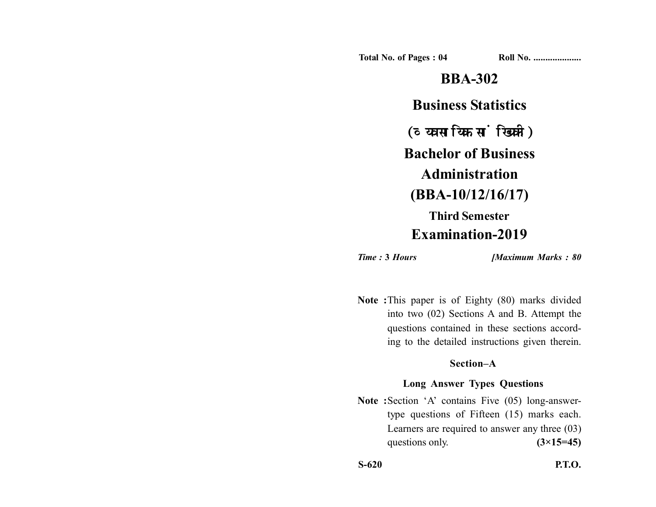**Total No. of Pages : 04 Roll No. ...................** 

# **BBA-302 Business Statistics** (व्यवसायिक सांख्यिकी) **Bachelor of Business Administration (BBA-10/12/16/17) Third Semester Examination-2019**

*Time :* **3** *Hours [Maximum Marks : 80*

**Note :**This paper is of Eighty (80) marks divided into two (02) Sections A and B. Attempt the questions contained in these sections according to the detailed instructions given therein.

## **Section–A**

## **Long Answer Types Questions**

Note :Section 'A' contains Five (05) long-answertype questions of Fifteen (15) marks each. Learners are required to answer any three (03) questions only.  $(3\times15=45)$ 

**S-620 P.T.O.**